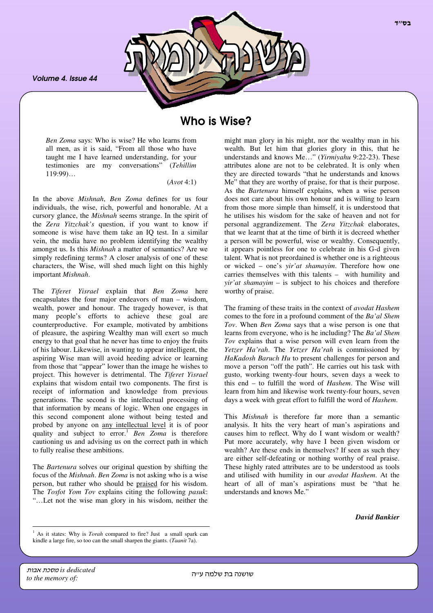*Volume 4. Issue 44*



## Who is Wise?

*Ben Zoma* says: Who is wise? He who learns from all men, as it is said, "From all those who have taught me I have learned understanding, for your testimonies are my conversations" (*Tehillim*  $119:99$ …

(*Avot* 4:1)

In the above *Mishnah*, *Ben Zoma* defines for us four individuals, the wise, rich, powerful and honorable. At a cursory glance, the *Mishnah* seems strange. In the spirit of the *Zera Yitzchak's* question, if you want to know if someone is wise have them take an IQ test. In a similar vein, the media have no problem identifying the wealthy amongst us. Is this *Mishnah* a matter of semantics? Are we simply redefining terms? A closer analysis of one of these characters, the Wise, will shed much light on this highly important *Mishnah*.

The *Tiferet Yisrael* explain that *Ben Zoma* here encapsulates the four major endeavors of man – wisdom, wealth, power and honour. The tragedy however, is that many people's efforts to achieve these goal are counterproductive. For example, motivated by ambitions of pleasure, the aspiring Wealthy man will exert so much energy to that goal that he never has time to enjoy the fruits of his labour. Likewise, in wanting to appear intelligent, the aspiring Wise man will avoid heeding advice or learning from those that "appear" lower than the image he wishes to project. This however is detrimental. The *Tiferet Yisrael* explains that wisdom entail two components. The first is receipt of information and knowledge from previous generations. The second is the intellectual processing of that information by means of logic. When one engages in this second component alone without being tested and probed by anyone on any intellectual level it is of poor quality and subject to error. <sup>1</sup> *Ben Zoma* is therefore cautioning us and advising us on the correct path in which to fully realise these ambitions.

The *Bartenura* solves our original question by shifting the focus of the *Mishnah*. *Ben Zoma* is not asking who is a wise person, but rather who should be praised for his wisdom. The *Tosfot Yom Tov* explains citing the following *pasuk*: "…Let not the wise man glory in his wisdom, neither the

might man glory in his might, nor the wealthy man in his wealth. But let him that glories glory in this, that he understands and knows Me…" (*Yirmiyahu* 9:22-23). These attributes alone are not to be celebrated. It is only when they are directed towards "that he understands and knows Me" that they are worthy of praise, for that is their purpose. As the *Bartenura* himself explains, when a wise person does not care about his own honour and is willing to learn from those more simple than himself, it is understood that he utilises his wisdom for the sake of heaven and not for personal aggrandizement. The *Zera Yitzchak* elaborates, that we learnt that at the time of birth it is decreed whether a person will be powerful, wise or wealthy. Consequently, it appears pointless for one to celebrate in his G-d given talent. What is not preordained is whether one is a righteous or wicked – one's *yir'at shamayim*. Therefore how one carries themselves with this talents – with humility and *yir'at shamayim* – is subject to his choices and therefore worthy of praise.

The framing of these traits in the context of *avodat Hashem* comes to the fore in a profound comment of the *Ba'al Shem Tov*. When *Ben Zoma* says that a wise person is one that learns from everyone, who is he including? The *Ba'al Shem Tov* explains that a wise person will even learn from the *Yetzer Ha'rah*. The *Yetzer Ha'rah* is commissioned by *HaKadosh Baruch Hu* to present challenges for person and move a person "off the path". He carries out his task with gusto, working twenty-four hours, seven days a week to this end – to fulfill the word of *Hashem*. The Wise will learn from him and likewise work twenty-four hours, seven days a week with great effort to fulfill the word of *Hashem*.

This *Mishnah* is therefore far more than a semantic analysis. It hits the very heart of man's aspirations and causes him to reflect. Why do I want wisdom or wealth? Put more accurately, why have I been given wisdom or wealth? Are these ends in themselves? If seen as such they are either self-defeating or nothing worthy of real praise. These highly rated attributes are to be understood as tools and utilised with humility in our *avodat Hashem*. At the heart of all of man's aspirations must be "that he understands and knows Me."

*David Bankier*

is dedicated **אבות** *to the memory of:*

<sup>&</sup>lt;sup>1</sup> As it states: Why is *Torah* compared to fire? Just a small spark can kindle a large fire, so too can the small sharpen the giants. (*Taanit* 7a).